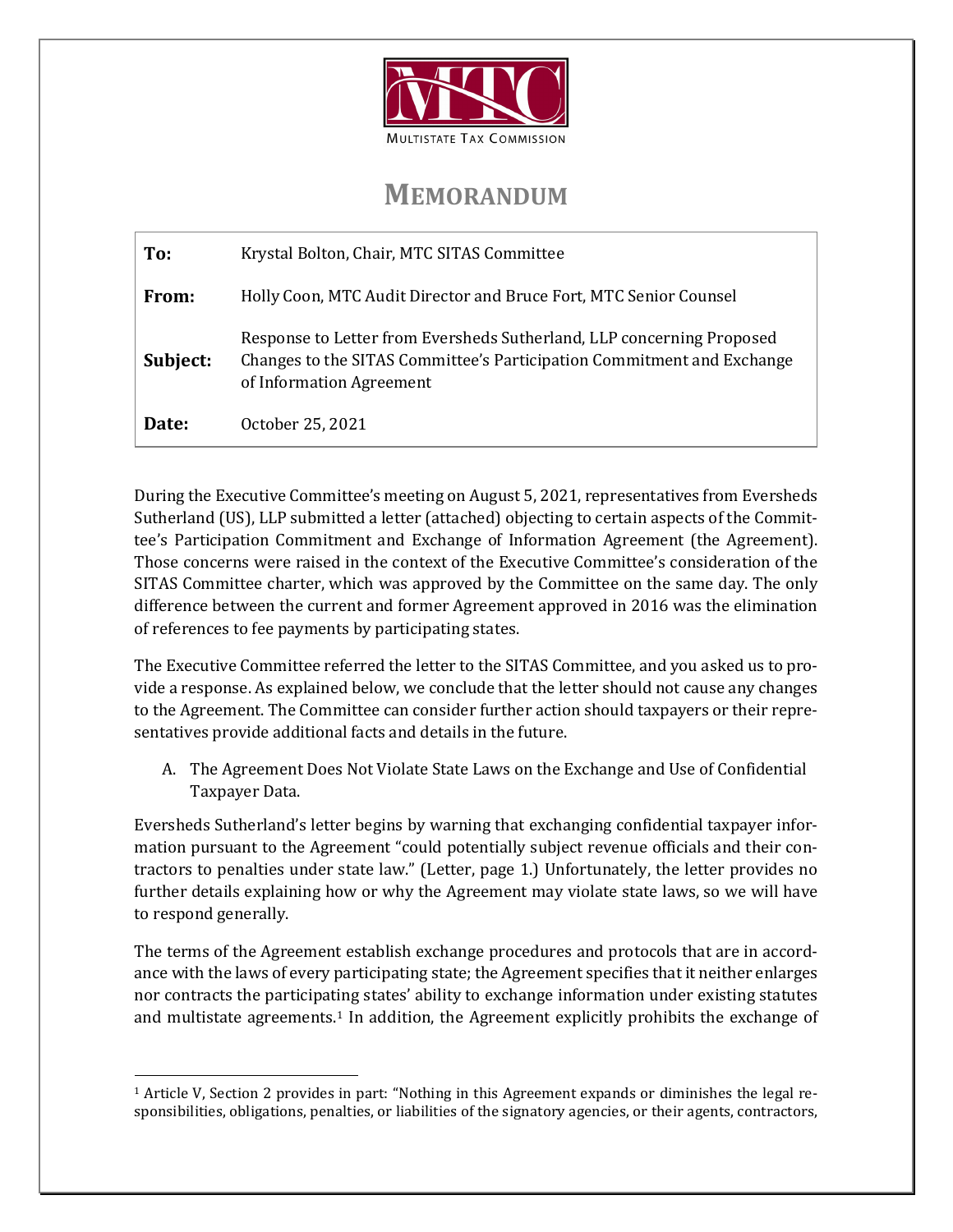

## **MEMORANDUM**

| To:      | Krystal Bolton, Chair, MTC SITAS Committee                                                                                                                                  |
|----------|-----------------------------------------------------------------------------------------------------------------------------------------------------------------------------|
| From:    | Holly Coon, MTC Audit Director and Bruce Fort, MTC Senior Counsel                                                                                                           |
| Subject: | Response to Letter from Eversheds Sutherland, LLP concerning Proposed<br>Changes to the SITAS Committee's Participation Commitment and Exchange<br>of Information Agreement |
| Date:    | October 25, 2021                                                                                                                                                            |

During the Executive Committee's meeting on August 5, 2021, representatives from Eversheds Sutherland (US), LLP submitted a letter (attached) objecting to certain aspects of the Committee's Participation Commitment and Exchange of Information Agreement (the Agreement). Those concerns were raised in the context of the Executive Committee's consideration of the SITAS Committee charter, which was approved by the Committee on the same day. The only difference between the current and former Agreement approved in 2016 was the elimination of references to fee payments by participating states.

The Executive Committee referred the letter to the SITAS Committee, and you asked us to provide a response. As explained below, we conclude that the letter should not cause any changes to the Agreement. The Committee can consider further action should taxpayers or their representatives provide additional facts and details in the future.

A. The Agreement Does Not Violate State Laws on the Exchange and Use of Confidential Taxpayer Data.

Eversheds Sutherland's letter begins by warning that exchanging confidential taxpayer information pursuant to the Agreement "could potentially subject revenue officials and their contractors to penalties under state law." (Letter, page 1.) Unfortunately, the letter provides no further details explaining how or why the Agreement may violate state laws, so we will have to respond generally.

The terms of the Agreement establish exchange procedures and protocols that are in accordance with the laws of every participating state; the Agreement specifies that it neither enlarges nor contracts the participating states' ability to exchange information under existing statutes and multistate agreements.[1](#page-0-0) In addition, the Agreement explicitly prohibits the exchange of

<span id="page-0-0"></span><sup>1</sup> Article V, Section 2 provides in part: "Nothing in this Agreement expands or diminishes the legal responsibilities, obligations, penalties, or liabilities of the signatory agencies, or their agents, contractors,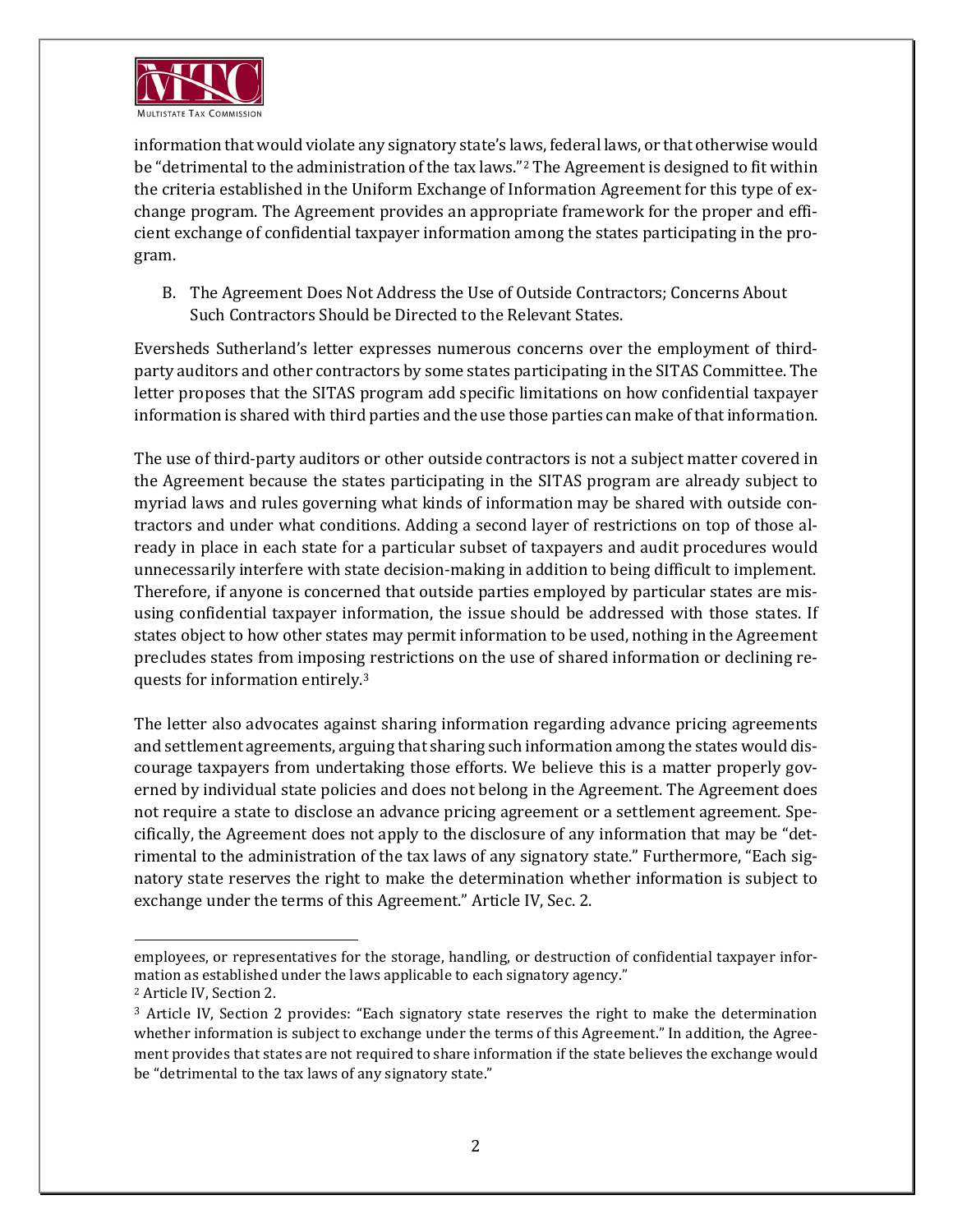

information that would violate any signatory state's laws, federal laws, or that otherwise would be "detrimental to the administration of the tax laws."[2](#page-1-0) The Agreement is designed to fit within the criteria established in the Uniform Exchange of Information Agreement for this type of exchange program. The Agreement provides an appropriate framework for the proper and efficient exchange of confidential taxpayer information among the states participating in the program.

B. The Agreement Does Not Address the Use of Outside Contractors; Concerns About Such Contractors Should be Directed to the Relevant States.

Eversheds Sutherland's letter expresses numerous concerns over the employment of thirdparty auditors and other contractors by some states participating in the SITAS Committee. The letter proposes that the SITAS program add specific limitations on how confidential taxpayer information is shared with third parties and the use those parties can make of that information.

The use of third-party auditors or other outside contractors is not a subject matter covered in the Agreement because the states participating in the SITAS program are already subject to myriad laws and rules governing what kinds of information may be shared with outside contractors and under what conditions. Adding a second layer of restrictions on top of those already in place in each state for a particular subset of taxpayers and audit procedures would unnecessarily interfere with state decision-making in addition to being difficult to implement. Therefore, if anyone is concerned that outside parties employed by particular states are misusing confidential taxpayer information, the issue should be addressed with those states. If states object to how other states may permit information to be used, nothing in the Agreement precludes states from imposing restrictions on the use of shared information or declining requests for information entirely.[3](#page-1-1)

The letter also advocates against sharing information regarding advance pricing agreements and settlement agreements, arguing that sharing such information among the states would discourage taxpayers from undertaking those efforts. We believe this is a matter properly governed by individual state policies and does not belong in the Agreement. The Agreement does not require a state to disclose an advance pricing agreement or a settlement agreement. Specifically, the Agreement does not apply to the disclosure of any information that may be "detrimental to the administration of the tax laws of any signatory state." Furthermore, "Each signatory state reserves the right to make the determination whether information is subject to exchange under the terms of this Agreement." Article IV, Sec. 2.

employees, or representatives for the storage, handling, or destruction of confidential taxpayer information as established under the laws applicable to each signatory agency."

<span id="page-1-0"></span><sup>2</sup> Article IV, Section 2.

<span id="page-1-1"></span><sup>&</sup>lt;sup>3</sup> Article IV, Section 2 provides: "Each signatory state reserves the right to make the determination whether information is subject to exchange under the terms of this Agreement." In addition, the Agreement provides that states are not required to share information if the state believes the exchange would be "detrimental to the tax laws of any signatory state."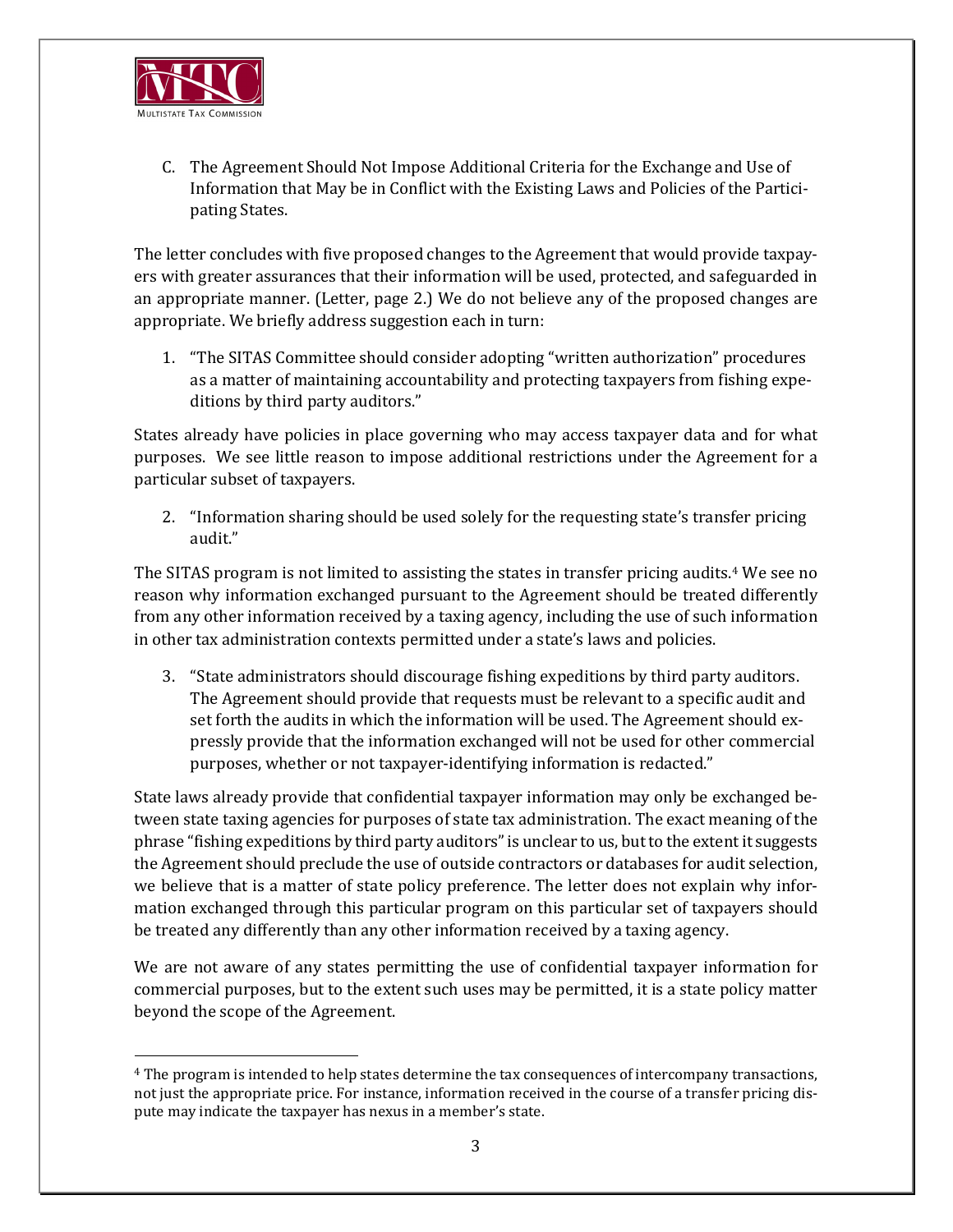

C. The Agreement Should Not Impose Additional Criteria for the Exchange and Use of Information that May be in Conflict with the Existing Laws and Policies of the Participating States.

The letter concludes with five proposed changes to the Agreement that would provide taxpayers with greater assurances that their information will be used, protected, and safeguarded in an appropriate manner. (Letter, page 2.) We do not believe any of the proposed changes are appropriate. We briefly address suggestion each in turn:

1. "The SITAS Committee should consider adopting "written authorization" procedures as a matter of maintaining accountability and protecting taxpayers from fishing expeditions by third party auditors."

States already have policies in place governing who may access taxpayer data and for what purposes. We see little reason to impose additional restrictions under the Agreement for a particular subset of taxpayers.

2. "Information sharing should be used solely for the requesting state's transfer pricing audit."

The SITAS program is not limited to assisting the states in transfer pricing audits.<sup>[4](#page-2-0)</sup> We see no reason why information exchanged pursuant to the Agreement should be treated differently from any other information received by a taxing agency, including the use of such information in other tax administration contexts permitted under a state's laws and policies.

3. "State administrators should discourage fishing expeditions by third party auditors. The Agreement should provide that requests must be relevant to a specific audit and set forth the audits in which the information will be used. The Agreement should expressly provide that the information exchanged will not be used for other commercial purposes, whether or not taxpayer-identifying information is redacted."

State laws already provide that confidential taxpayer information may only be exchanged between state taxing agencies for purposes of state tax administration. The exact meaning of the phrase "fishing expeditions by third party auditors" is unclear to us, but to the extent it suggests the Agreement should preclude the use of outside contractors or databases for audit selection, we believe that is a matter of state policy preference. The letter does not explain why information exchanged through this particular program on this particular set of taxpayers should be treated any differently than any other information received by a taxing agency.

We are not aware of any states permitting the use of confidential taxpayer information for commercial purposes, but to the extent such uses may be permitted, it is a state policy matter beyond the scope of the Agreement.

<span id="page-2-0"></span><sup>4</sup> The program is intended to help states determine the tax consequences of intercompany transactions, not just the appropriate price. For instance, information received in the course of a transfer pricing dispute may indicate the taxpayer has nexus in a member's state.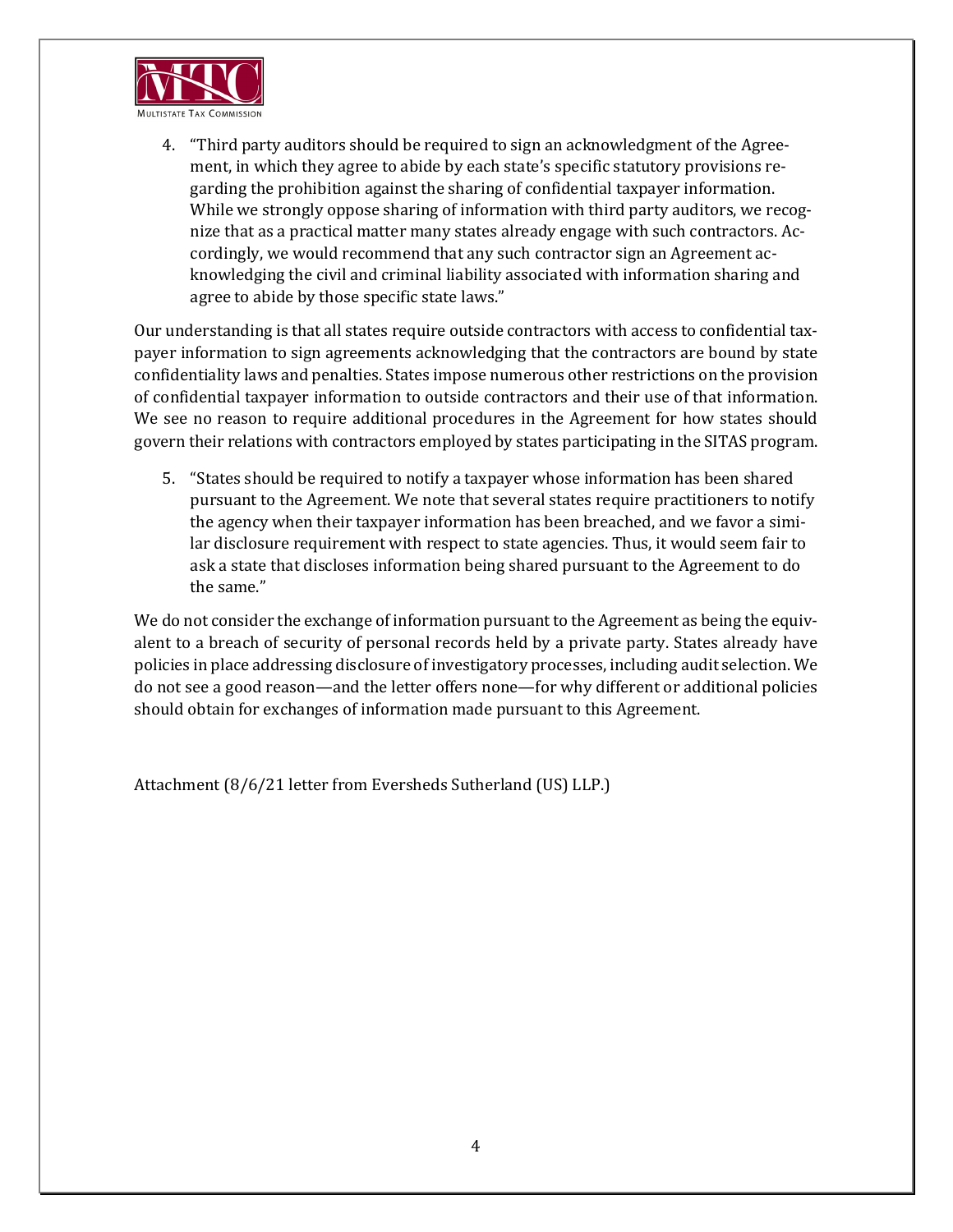

4. "Third party auditors should be required to sign an acknowledgment of the Agreement, in which they agree to abide by each state's specific statutory provisions regarding the prohibition against the sharing of confidential taxpayer information. While we strongly oppose sharing of information with third party auditors, we recognize that as a practical matter many states already engage with such contractors. Accordingly, we would recommend that any such contractor sign an Agreement acknowledging the civil and criminal liability associated with information sharing and agree to abide by those specific state laws."

Our understanding is that all states require outside contractors with access to confidential taxpayer information to sign agreements acknowledging that the contractors are bound by state confidentiality laws and penalties. States impose numerous other restrictions on the provision of confidential taxpayer information to outside contractors and their use of that information. We see no reason to require additional procedures in the Agreement for how states should govern their relations with contractors employed by states participating in the SITAS program.

5. "States should be required to notify a taxpayer whose information has been shared pursuant to the Agreement. We note that several states require practitioners to notify the agency when their taxpayer information has been breached, and we favor a similar disclosure requirement with respect to state agencies. Thus, it would seem fair to ask a state that discloses information being shared pursuant to the Agreement to do the same."

We do not consider the exchange of information pursuant to the Agreement as being the equivalent to a breach of security of personal records held by a private party. States already have policies in place addressing disclosure of investigatory processes, including audit selection. We do not see a good reason—and the letter offers none—for why different or additional policies should obtain for exchanges of information made pursuant to this Agreement.

Attachment (8/6/21 letter from Eversheds Sutherland (US) LLP.)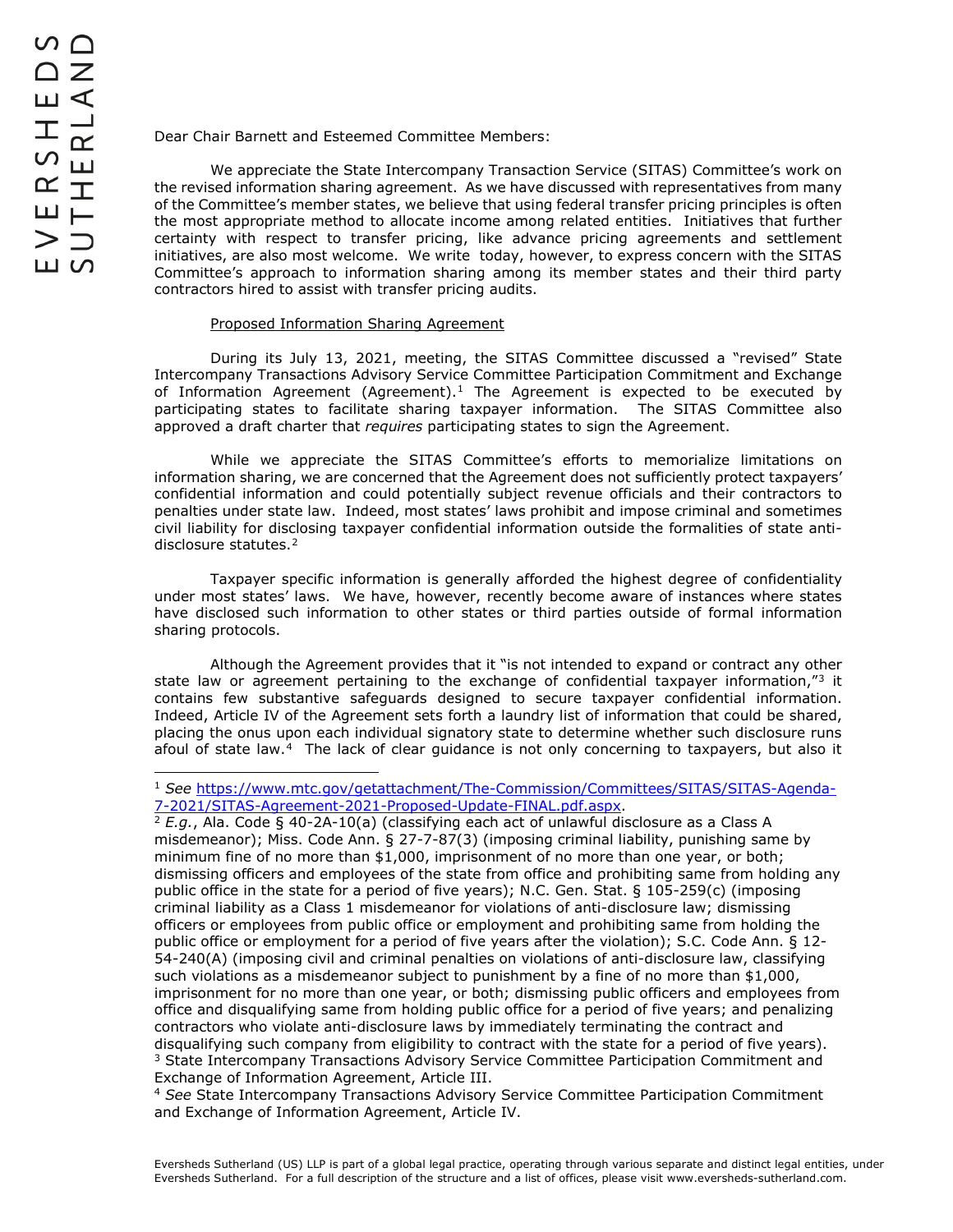Dear Chair Barnett and Esteemed Committee Members:

We appreciate the State Intercompany Transaction Service (SITAS) Committee's work on the revised information sharing agreement. As we have discussed with representatives from many of the Committee's member states, we believe that using federal transfer pricing principles is often the most appropriate method to allocate income among related entities. Initiatives that further certainty with respect to transfer pricing, like advance pricing agreements and settlement initiatives, are also most welcome. We write today, however, to express concern with the SITAS Committee's approach to information sharing among its member states and their third party contractors hired to assist with transfer pricing audits.

## Proposed Information Sharing Agreement

During its July 13, 2021, meeting, the SITAS Committee discussed a "revised" State Intercompany Transactions Advisory Service Committee Participation Commitment and Exchange of Information Agreement (Agreement).<sup>[1](#page-4-0)</sup> The Agreement is expected to be executed by participating states to facilitate sharing taxpayer information. The SITAS Committee also approved a draft charter that *requires* participating states to sign the Agreement.

While we appreciate the SITAS Committee's efforts to memorialize limitations on information sharing, we are concerned that the Agreement does not sufficiently protect taxpayers' confidential information and could potentially subject revenue officials and their contractors to penalties under state law. Indeed, most states' laws prohibit and impose criminal and sometimes civil liability for disclosing taxpayer confidential information outside the formalities of state anti-disclosure statutes.<sup>[2](#page-4-1)</sup>

Taxpayer specific information is generally afforded the highest degree of confidentiality under most states' laws. We have, however, recently become aware of instances where states have disclosed such information to other states or third parties outside of formal information sharing protocols.

Although the Agreement provides that it "is not intended to expand or contract any other state law or agreement pertaining to the exchange of confidential taxpayer information," $3$  it contains few substantive safeguards designed to secure taxpayer confidential information. Indeed, Article IV of the Agreement sets forth a laundry list of information that could be shared, placing the onus upon each individual signatory state to determine whether such disclosure runs afoul of state law.[4](#page-4-3) The lack of clear guidance is not only concerning to taxpayers, but also it

<span id="page-4-1"></span><sup>2</sup> *E.g.*, Ala. Code § 40-2A-10(a) (classifying each act of unlawful disclosure as a Class A misdemeanor); Miss. Code Ann. § 27-7-87(3) (imposing criminal liability, punishing same by minimum fine of no more than \$1,000, imprisonment of no more than one year, or both; dismissing officers and employees of the state from office and prohibiting same from holding any public office in the state for a period of five years); N.C. Gen. Stat. § 105-259(c) (imposing criminal liability as a Class 1 misdemeanor for violations of anti-disclosure law; dismissing officers or employees from public office or employment and prohibiting same from holding the public office or employment for a period of five years after the violation); S.C. Code Ann. § 12- 54-240(A) (imposing civil and criminal penalties on violations of anti-disclosure law, classifying such violations as a misdemeanor subject to punishment by a fine of no more than \$1,000, imprisonment for no more than one year, or both; dismissing public officers and employees from office and disqualifying same from holding public office for a period of five years; and penalizing contractors who violate anti-disclosure laws by immediately terminating the contract and disqualifying such company from eligibility to contract with the state for a period of five years). <sup>3</sup> State Intercompany Transactions Advisory Service Committee Participation Commitment and Exchange of Information Agreement, Article III.

<span id="page-4-3"></span><span id="page-4-2"></span><sup>4</sup> *See* State Intercompany Transactions Advisory Service Committee Participation Commitment and Exchange of Information Agreement, Article IV.

<span id="page-4-0"></span><sup>1</sup> *See* [https://www.mtc.gov/getattachment/The-Commission/Committees/SITAS/SITAS-Agenda-](https://www.mtc.gov/getattachment/The-Commission/Committees/SITAS/SITAS-Agenda-7-2021/SITAS-Agreement-2021-Proposed-Update-FINAL.pdf.aspx)[7-2021/SITAS-Agreement-2021-Proposed-Update-FINAL.pdf.aspx.](https://www.mtc.gov/getattachment/The-Commission/Committees/SITAS/SITAS-Agenda-7-2021/SITAS-Agreement-2021-Proposed-Update-FINAL.pdf.aspx)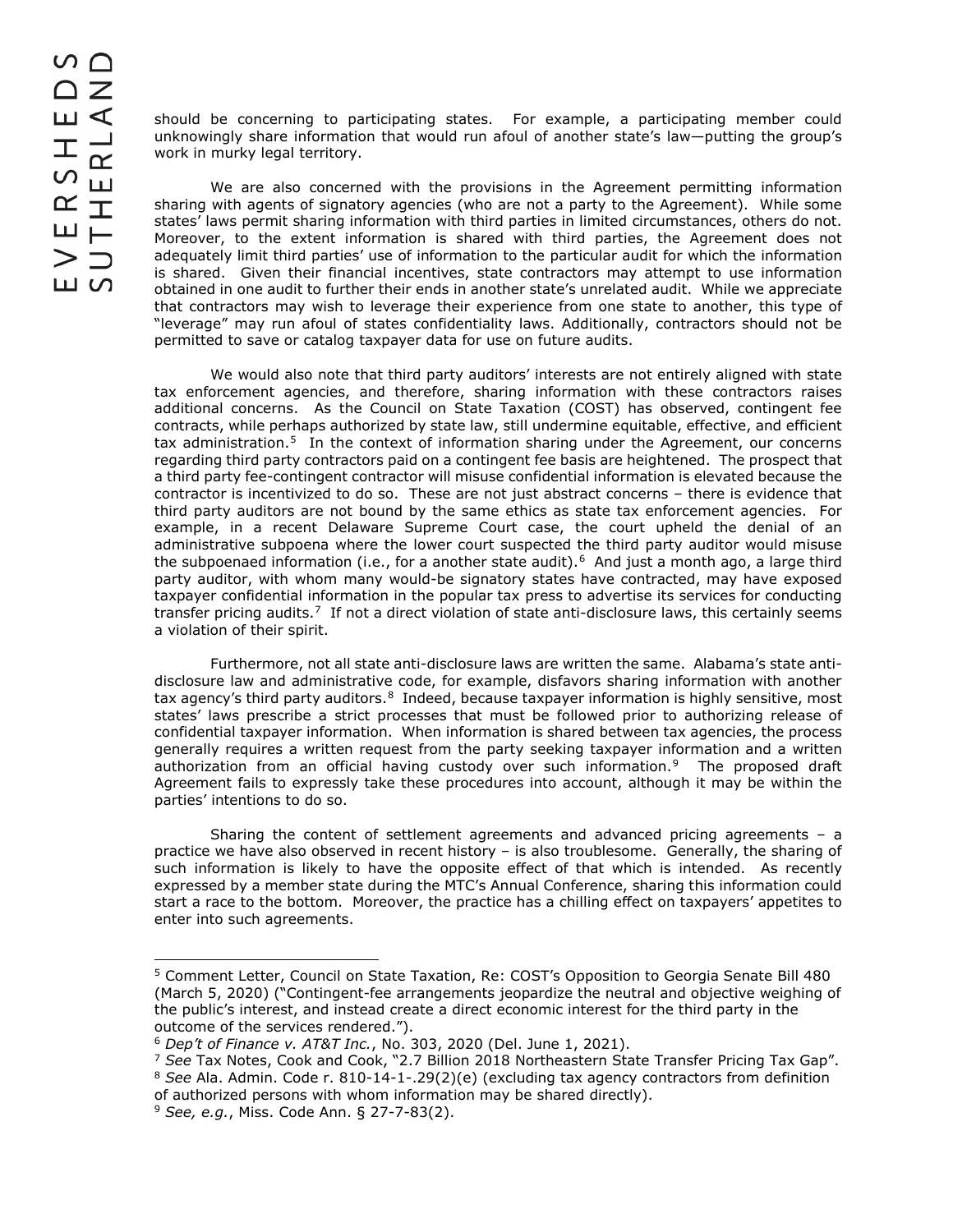should be concerning to participating states. For example, a participating member could unknowingly share information that would run afoul of another state's law—putting the group's work in murky legal territory.

We are also concerned with the provisions in the Agreement permitting information sharing with agents of signatory agencies (who are not a party to the Agreement). While some states' laws permit sharing information with third parties in limited circumstances, others do not. Moreover, to the extent information is shared with third parties, the Agreement does not adequately limit third parties' use of information to the particular audit for which the information is shared. Given their financial incentives, state contractors may attempt to use information obtained in one audit to further their ends in another state's unrelated audit. While we appreciate that contractors may wish to leverage their experience from one state to another, this type of "leverage" may run afoul of states confidentiality laws. Additionally, contractors should not be permitted to save or catalog taxpayer data for use on future audits.

We would also note that third party auditors' interests are not entirely aligned with state tax enforcement agencies, and therefore, sharing information with these contractors raises additional concerns. As the Council on State Taxation (COST) has observed, contingent fee contracts, while perhaps authorized by state law, still undermine equitable, effective, and efficient tax administration.<sup>[5](#page-5-0)</sup> In the context of information sharing under the Agreement, our concerns regarding third party contractors paid on a contingent fee basis are heightened. The prospect that a third party fee-contingent contractor will misuse confidential information is elevated because the contractor is incentivized to do so. These are not just abstract concerns – there is evidence that third party auditors are not bound by the same ethics as state tax enforcement agencies. For example, in a recent Delaware Supreme Court case, the court upheld the denial of an administrative subpoena where the lower court suspected the third party auditor would misuse the subpoenaed information (i.e., for a another state audit).<sup>[6](#page-5-1)</sup> And just a month ago, a large third party auditor, with whom many would-be signatory states have contracted, may have exposed taxpayer confidential information in the popular tax press to advertise its services for conducting transfer pricing audits.<sup>[7](#page-5-2)</sup> If not a direct violation of state anti-disclosure laws, this certainly seems a violation of their spirit.

Furthermore, not all state anti-disclosure laws are written the same. Alabama's state antidisclosure law and administrative code, for example, disfavors sharing information with another tax agency's third party auditors.<sup>[8](#page-5-3)</sup> Indeed, because taxpayer information is highly sensitive, most states' laws prescribe a strict processes that must be followed prior to authorizing release of confidential taxpayer information. When information is shared between tax agencies, the process generally requires a written request from the party seeking taxpayer information and a written authorization from an official having custody over such information.[9](#page-5-4) The proposed draft Agreement fails to expressly take these procedures into account, although it may be within the parties' intentions to do so.

Sharing the content of settlement agreements and advanced pricing agreements  $-$  a practice we have also observed in recent history – is also troublesome. Generally, the sharing of such information is likely to have the opposite effect of that which is intended. As recently expressed by a member state during the MTC's Annual Conference, sharing this information could start a race to the bottom. Moreover, the practice has a chilling effect on taxpayers' appetites to enter into such agreements.

<span id="page-5-0"></span> <sup>5</sup> Comment Letter, Council on State Taxation, Re: COST's Opposition to Georgia Senate Bill 480 (March 5, 2020) ("Contingent-fee arrangements jeopardize the neutral and objective weighing of the public's interest, and instead create a direct economic interest for the third party in the outcome of the services rendered.").

<sup>6</sup> *Dep't of Finance v. AT&T Inc.*, No. 303, 2020 (Del. June 1, 2021).

<span id="page-5-2"></span><span id="page-5-1"></span><sup>7</sup> *See* Tax Notes, Cook and Cook, "2.7 Billion 2018 Northeastern State Transfer Pricing Tax Gap". <sup>8</sup> *See* Ala. Admin. Code r. 810-14-1-.29(2)(e) (excluding tax agency contractors from definition

<span id="page-5-4"></span><span id="page-5-3"></span>of authorized persons with whom information may be shared directly).

<sup>9</sup> *See, e.g.*, Miss. Code Ann. § 27-7-83(2).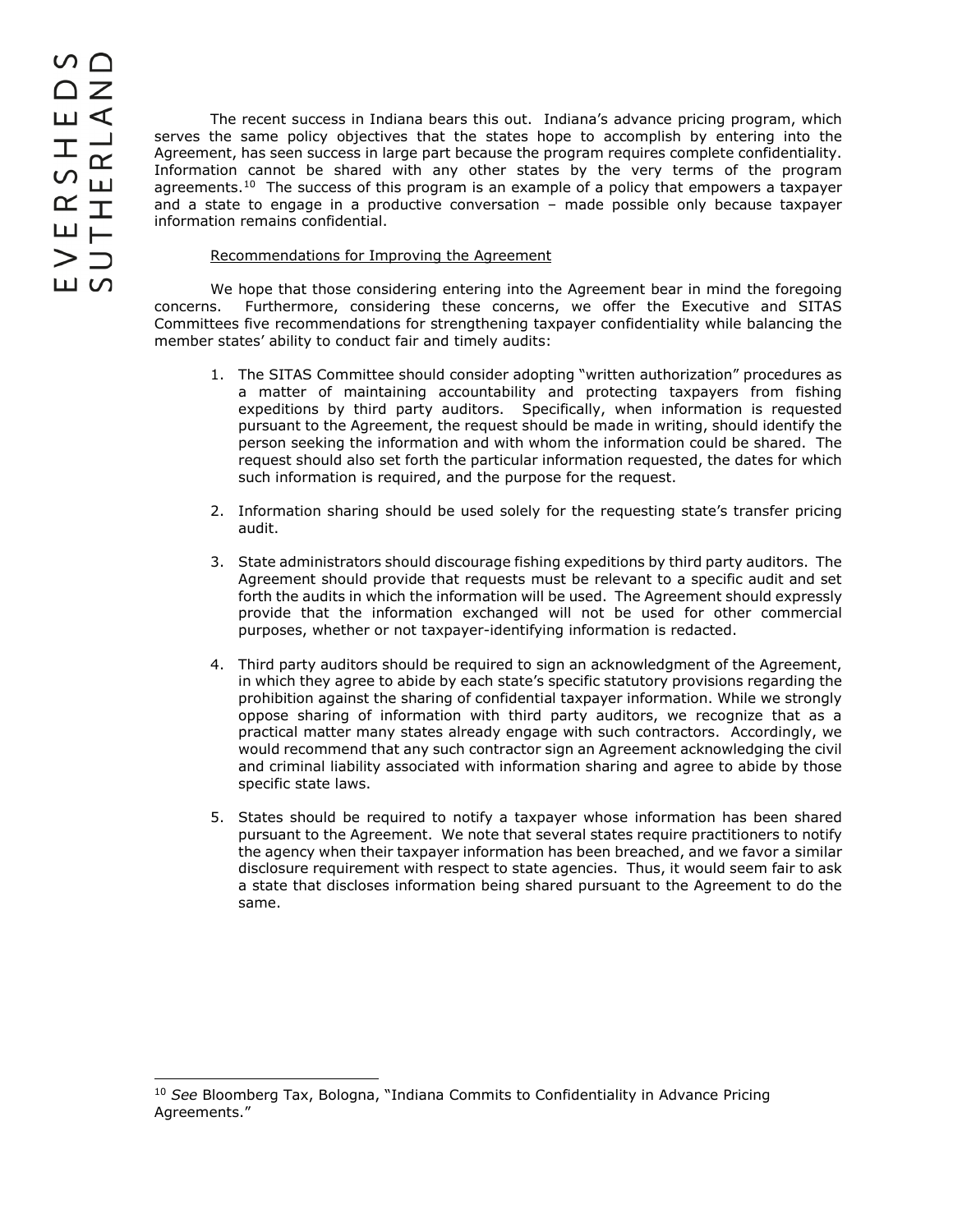The recent success in Indiana bears this out. Indiana's advance pricing program, which serves the same policy objectives that the states hope to accomplish by entering into the Agreement, has seen success in large part because the program requires complete confidentiality. Information cannot be shared with any other states by the very terms of the program agreements.<sup>[10](#page-6-0)</sup> The success of this program is an example of a policy that empowers a taxpayer and a state to engage in a productive conversation – made possible only because taxpayer information remains confidential.

## Recommendations for Improving the Agreement

We hope that those considering entering into the Agreement bear in mind the foregoing concerns. Furthermore, considering these concerns, we offer the Executive and SITAS Committees five recommendations for strengthening taxpayer confidentiality while balancing the member states' ability to conduct fair and timely audits:

- 1. The SITAS Committee should consider adopting "written authorization" procedures as a matter of maintaining accountability and protecting taxpayers from fishing expeditions by third party auditors. Specifically, when information is requested pursuant to the Agreement, the request should be made in writing, should identify the person seeking the information and with whom the information could be shared. The request should also set forth the particular information requested, the dates for which such information is required, and the purpose for the request.
- 2. Information sharing should be used solely for the requesting state's transfer pricing audit.
- 3. State administrators should discourage fishing expeditions by third party auditors. The Agreement should provide that requests must be relevant to a specific audit and set forth the audits in which the information will be used. The Agreement should expressly provide that the information exchanged will not be used for other commercial purposes, whether or not taxpayer-identifying information is redacted.
- 4. Third party auditors should be required to sign an acknowledgment of the Agreement, in which they agree to abide by each state's specific statutory provisions regarding the prohibition against the sharing of confidential taxpayer information. While we strongly oppose sharing of information with third party auditors, we recognize that as a practical matter many states already engage with such contractors. Accordingly, we would recommend that any such contractor sign an Agreement acknowledging the civil and criminal liability associated with information sharing and agree to abide by those specific state laws.
- 5. States should be required to notify a taxpayer whose information has been shared pursuant to the Agreement. We note that several states require practitioners to notify the agency when their taxpayer information has been breached, and we favor a similar disclosure requirement with respect to state agencies. Thus, it would seem fair to ask a state that discloses information being shared pursuant to the Agreement to do the same.

<span id="page-6-0"></span><sup>10</sup> *See* Bloomberg Tax, Bologna, "Indiana Commits to Confidentiality in Advance Pricing Agreements."